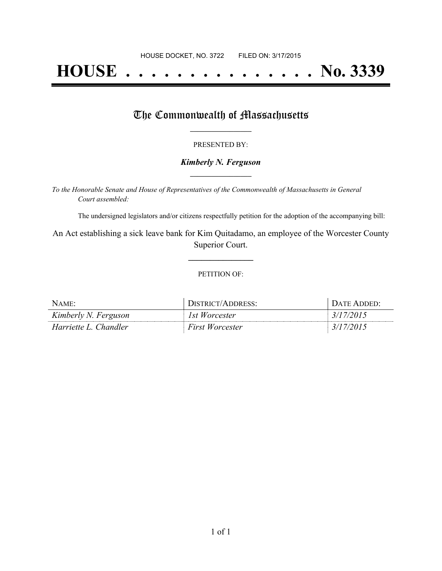# **HOUSE . . . . . . . . . . . . . . . No. 3339**

## The Commonwealth of Massachusetts

#### PRESENTED BY:

#### *Kimberly N. Ferguson* **\_\_\_\_\_\_\_\_\_\_\_\_\_\_\_\_\_**

*To the Honorable Senate and House of Representatives of the Commonwealth of Massachusetts in General Court assembled:*

The undersigned legislators and/or citizens respectfully petition for the adoption of the accompanying bill:

An Act establishing a sick leave bank for Kim Quitadamo, an employee of the Worcester County Superior Court.

**\_\_\_\_\_\_\_\_\_\_\_\_\_\_\_**

#### PETITION OF:

| NAME:                 | DISTRICT/ADDRESS:      | DATE ADDED' |
|-----------------------|------------------------|-------------|
| Kimberly N. Ferguson  | 1st Worcester          | 3/17/2015   |
| Harriette L. Chandler | <b>First Worcester</b> | 3/17/2015   |